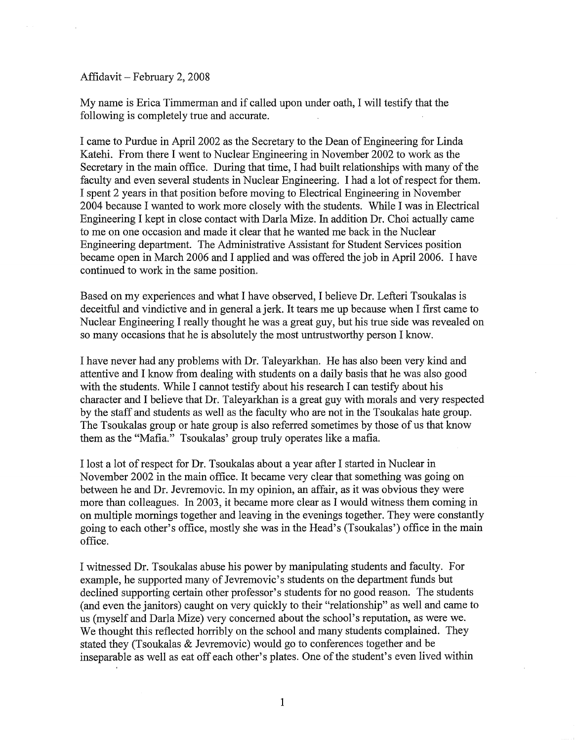Affidavit - February 2, 2008

My name is Erica Timmerman and if called upon under oath, I will testify that the following is completely true and accurate.

I came to Purdue in April 2002 as the Secretary to the Dean of Engineering for Linda Katehi. From there I went to Nuclear Engineering in November 2002 to work as the Secretary in the main office. During that time, I had built relationships with many of the faculty and even several students in Nuclear Engineering. I had a lot of respect for them. I spent 2 years in that position before moving to Electrical Engineering in November 2004 because I wanted to work more closely with the students. While I was in Electrical Engineering I kept in close contact with Darla Mize. In addition Dr. Choi actually came to me on one occasion and made it clear that he wanted me back in the Nuclear Engineering department. The Administrative Assistant for Student Services position became open in March 2006 and I applied and was offered the job in April 2006. I have continued to work in the same position.

Based on my experiences and what I have observed, I believe Dr. Lefteri Tsoukalas is deceitful and vindictive and in general a jerk. It tears me up because when I first came to Nuclear Engineering I really thought he was a great guy, but his true side was revealed on so many occasions that he is absolutely the most untrustworthy person I know.

I have never had any problems with Dr. Taleyarkhan. He has also been very kind and attentive and I know from dealing with students on a daily basis that he was also good with the students. While I cannot testify about his research I can testify about his character and I believe that Dr. Taleyarkhan is a great guy with morals and very respected by the staff and students as well as the faculty who are not in the Tsoukalas hate group. The Tsoukalas group or hate group is also referred sometimes by those of us that know them as the "Mafia." Tsoukalas' group truly operates like a mafia.

I lost a lot ofrespect for Dr. Tsoukalas about a year after I started in Nuclear in November 2002 in the main office. It became very clear that something was going on between he and Dr. Jevremovic. In my opinion, an affair, as it was obvious they were more than colleagues. In 2003, it became more clear as I would witness them coming in on multiple mornings together and leaving in the evenings together. They were constantly going to each other's office, mostly she was in the Head's (Tsoukalas') office in the main office.

I witnessed Dr. Tsoukalas abuse his power by manipulating students and faculty. For example, he supported many of Jevremovic's students on the department funds but declined supporting certain other professor's students for no good reason. The students (and even the janitors) caught on very quickly to their "relationship" as well and came to us (myself and Darla Mize) very concerned about the school's reputation, as were we. We thought this reflected horribly on the school and many students complained. They stated they (Tsoukalas & Jevremovic) would go to conferences together and be inseparable as well as eat off each other's plates. One of the student's even lived within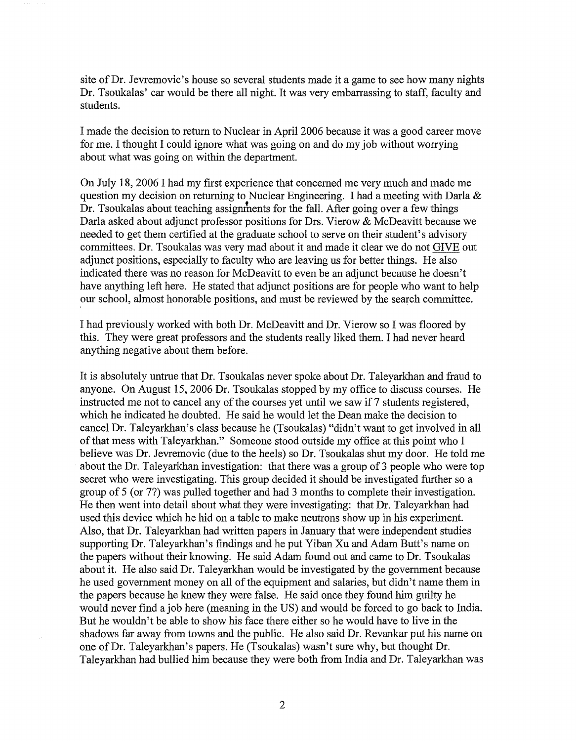site of Dr. Jevremovic's house so several students made it a game to see how many nights Dr. Tsoukalas' car would be there all night. It was very embarrassing to staff, faculty and students.

I made the decision to return to Nuclear in April 2006 because it was a good career move for me. I thought I could ignore what was going on and do my job without worrying about what was going on within the department.

On July 18, 2006 I had my first experience that concerned me very much and made me question my decision on returning to Nuclear Engineering. I had a meeting with Darla & Dr. Tsoukalas about teaching assignments for the fall. After going over a few things Darla asked about adjunct professor positions for Drs. Vierow & McDeavitt because we needed to get them certified at the graduate school to serve on their student's advisory committees. Dr. Tsoukalas was very mad about it and made it clear we do not GIVE out adjunct positions, especially to faculty who are leaving us for better things. He also indicated there was no reason for McDeavitt to even be an adjunct because he doesn't have anything left here. He stated that adjunct positions are for people who want to help our school, almost honorable positions, and must be reviewed by the search committee.

I had previously worked with both Dr. McDeavitt and Dr. Vierow so I was floored by this. They were great professors and the students really liked them. I had never heard anything negative about them before.

It is absolutely untrue that Dr. Tsoukalas never spoke about Dr. Taleyarkhan and fraud to anyone. On August 15, 2006 Dr. Tsoukalas stopped by my office to discuss courses. He instructed me not to cancel any of the courses yet until we saw if 7 students registered, which he indicated he doubted. He said he would let the Dean make the decision to cancel Dr. Taleyarkhan's class because he (Tsoukalas) "didn't want to get involved in all ofthat mess with Taleyarkhan." Someone stood outside my office at this point who I believe was Dr. Jevremovic (due to the heels) so Dr. Tsoukalas shut my door. He told me about the Dr. Taleyarkhan investigation: that there was a group of 3 people who were top secret who were investigating. This group decided it should be investigated further so a group of 5 (or 77) was pulled together and had 3 months to complete their investigation. He then went into detail about what they were investigating: that Dr. Taleyarkhan had used this device which he hid on a table to make neutrons show up in his experiment. Also, that Dr. Taleyarkhan had written papers in January that were independent studies supporting Dr. Taleyarkhan's findings and he put Yiban Xu and Adam Butt's name on the papers without their knowing. He said Adam found out and came to Dr. Tsoukalas about it. He also said Dr. Taleyarkhan would be investigated by the government because he used government money on all of the equipment and salaries, but didn't name them in the papers because he knew they were false. He said once they found him guilty he would never find a job here (meaning in the US) and would be forced to go back to India. But he wouldn't be able to show his face there either so he would have to live in the shadows far away from towns and the public. He also said Dr. Revankar put his name on one ofDr. Taleyarkhan's papers. He (Tsoukalas) wasn't sure why, but thought Dr. Taleyarkhan had bullied him because they were both from India and Dr. Taleyarkhan was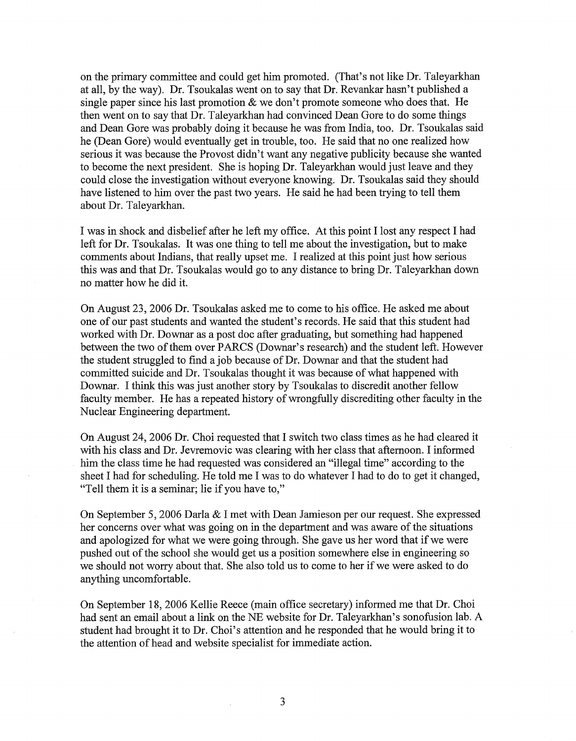on the primary committee and could get him promoted. (That's not like Dr. Taleyarkhan at all, by the way). Dr. Tsoukalas went on to say that Dr. Revankar hasn't published a single paper since his last promotion  $\&$  we don't promote someone who does that. He then went on to say that Dr. Taleyarkhan had convinced Dean Gore to do some things and Dean Gore was probably doing it because he was from India, too. Dr. Tsoukalas said he (Dean Gore) would eventually get in trouble, too. He said that no one realized how serious it was because the Provost didn't want any negative publicity because she wanted to become the next president. She is hoping Dr. Taleyarkhan would just leave and they could close the investigation without everyone knowing. Dr. Tsoukalas said they should have listened to him over the past two years. He said he had been trying to tell them about Dr. Taleyarkhan.

I was in shock and disbelief after he left my office. At this point I lost any respect I had left for Dr. Tsoukalas. It was one thing to tell me about the investigation, but to make comments about Indians, that really upset me. I realized at this point just how serious this was and that Dr. Tsoukalas would go to any distance to bring Dr. Taleyarkhan down no matter how he did it.

On August 23,2006 Dr. Tsoukalas asked me to come to his office. He asked me about one of our past students and wanted the student's records. He said that this student had worked with Dr. Downar as a post doc after graduating, but something had happened between the two of them over PARCS (Downar's research) and the student left. However the student struggled to find ajob because of Dr. Downar and that the student had committed suicide and Dr. Tsoukalas thought it was because of what happened with Downar. I think this was just another story by Tsoukalas to discredit another fellow faculty member. He has a repeated history of wrongfully discrediting other faculty in the Nuclear Engineering department.

On August 24,2006 Dr. Choi requested that I switch two class times as he had cleared it with his class and Dr. Jevremovic was clearing with her class that afternoon. I informed him the class time he had requested was considered an "illegal time" according to the sheet I had for scheduling. He told me I was to do whatever I had to do to get it changed, "Tell them it is a seminar; lie if you have to,"

On September 5, 2006 Darla & I met with Dean Jamieson per our request. She expressed her concerns over what was going on in the department and was aware of the situations and apologized for what we were going through. She gave us her word that if we were pushed out of the school she would get us a position somewhere else in engineering so we should not worry about that. She also told us to come to her if we were asked to do anything uncomfortable.

On September 18, 2006 Kellie Reece (main office secretary) informed me that Dr. Choi had sent an email about a link on the NE website for Dr. Taleyarkhan's sonofusion lab. A student had brought it to Dr. Choi's attention and he responded that he would bring it to the attention of head and website specialist for immediate action.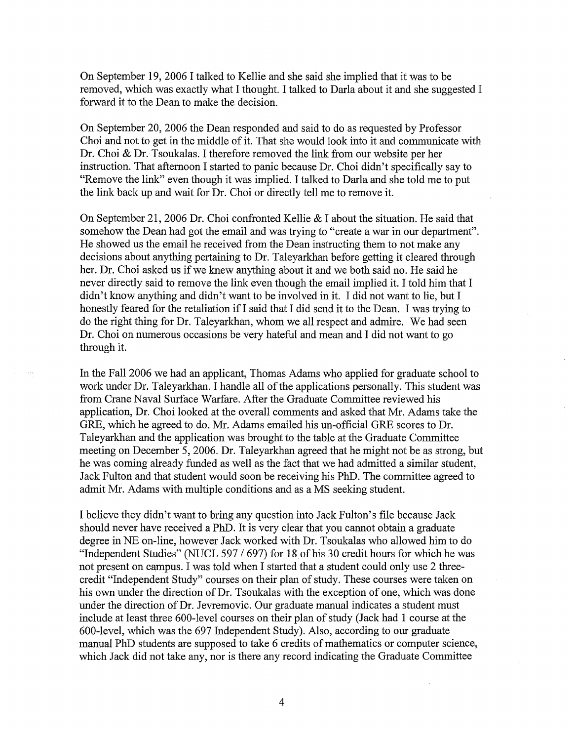On September 19,2006 I talked to Kellie and she said she implied that it was to be removed, which was exactly what I thought. I talked to Darla about it and she suggested I forward it to the Dean to make the decision.

On September 20, 2006 the Dean responded and said to do as requested by Professor Choi and not to get in the middle of it. That she would look into it and communicate with Dr. Choi & Dr. Tsoukalas. I therefore removed the link from our website per her instruction. That afternoon I started to panic because Dr. Choi didn't specifically say to "Remove the link" even though it was implied. I talked to Darla and she told me to put the link back up and wait for Dr. Choi or directly tell me to remove it.

On September 21,2006 Dr. Choi confronted Kellie & I about the situation. He said that somehow the Dean had got the email and was trying to "create a war in our department". He showed us the email he received from the Dean instructing them to not make any decisions about anything pertaining to Dr. Taleyarkhan before getting it cleared through her. Dr. Choi asked us if we knew anything about it and we both said no. He said he never directly said to remove the link even though the email implied it. I told him that I didn't know anything and didn't want to be involved in it. I did not want to lie, but I honestly feared for the retaliation if I said that I did send it to the Dean. I was trying to do the right thing for Dr. Taleyarkhan, whom we all respect and admire. We had seen Dr. Choi on numerous occasions be very hateful and mean and I did not want to go through it.

In the Fall 2006 we had an applicant, Thomas Adams who applied for graduate school to work under Dr. Taleyarkhan. I handle all of the applications personally. This student was from Crane Naval Surface Warfare. After the Graduate Committee reviewed his application, Dr. Choi looked at the overall comments and asked that Mr. Adams take the ORE, which he agreed to do. Mr. Adams emailed his un-official GRE scores to Dr. Taleyarkhan and the application was brought to the table at the Graduate Committee meeting on December 5,2006. Dr. Taleyarkhan agreed that he might not be as strong, but he was coming already funded as well as the fact that we had admitted a similar student, Jack Fulton and that student would soon be receiving his PhD. The committee agreed to admit Mr. Adams with multiple conditions and as a MS seeking student.

I believe they didn't want to bring any question into Jack Fulton's file because Jack should never have received a PhD. It is very clear that you cannot obtain a graduate degree in NE on-line, however Jack worked with Dr. Tsoukalas who allowed him to do "Independent Studies" (NUCL 597 / 697) for 18 of his 30 credit hours for which he was not present on campus. I was told when I started that a student could only use 2 threecredit "Independent Study" courses on their plan of study. These courses were taken on his own under the direction of Dr. Tsoukalas with the exception of one, which was done under the direction of Dr. Jevremovic. Our graduate manual indicates a student must include at least three 600-level courses on their plan of study (Jack had 1 course at the 600-level, which was the 697 Independent Study). Also, according to our graduate manual PhD students are supposed to take 6 credits of mathematics or computer science, which Jack did not take any, nor is there any record indicating the Graduate Committee